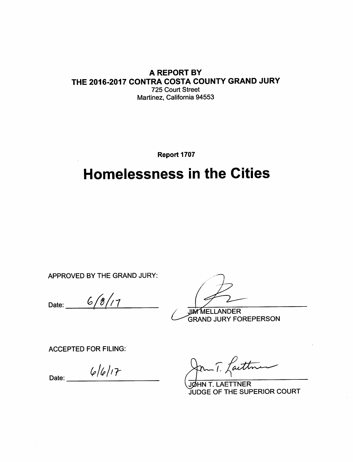#### A REPORT BY THE 2016-2017 CONTRA COSTA COUNTY GRAND JURY 725 Court Street Martinez, California 94553

Report 1707

# **Homelessness in the Cities**

APPROVED BY THE GRAND JURY:

 $6/8/17$ Date:

**JIM MELLANDER GRAND JURY FOREPERSON** 

**ACCEPTED FOR FILING:** 

 $6/6/17$ Date:

Caettre

JØHN T. LAETTNER **JUDGE OF THE SUPERIOR COURT**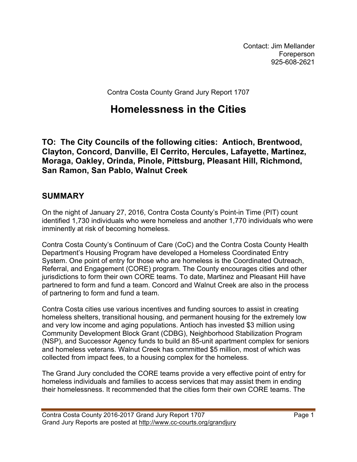Contact: Jim Mellander Foreperson 925-608-2621

Contra Costa County Grand Jury Report 1707

## **Homelessness in the Cities**

**TO: The City Councils of the following cities: Antioch, Brentwood, Clayton, Concord, Danville, El Cerrito, Hercules, Lafayette, Martinez, Moraga, Oakley, Orinda, Pinole, Pittsburg, Pleasant Hill, Richmond, San Ramon, San Pablo, Walnut Creek**

### **SUMMARY**

On the night of January 27, 2016, Contra Costa County's Point-in Time (PIT) count identified 1,730 individuals who were homeless and another 1,770 individuals who were imminently at risk of becoming homeless.

Contra Costa County's Continuum of Care (CoC) and the Contra Costa County Health Department's Housing Program have developed a Homeless Coordinated Entry System. One point of entry for those who are homeless is the Coordinated Outreach, Referral, and Engagement (CORE) program. The County encourages cities and other jurisdictions to form their own CORE teams. To date, Martinez and Pleasant Hill have partnered to form and fund a team. Concord and Walnut Creek are also in the process of partnering to form and fund a team.

Contra Costa cities use various incentives and funding sources to assist in creating homeless shelters, transitional housing, and permanent housing for the extremely low and very low income and aging populations. Antioch has invested \$3 million using Community Development Block Grant (CDBG), Neighborhood Stabilization Program (NSP), and Successor Agency funds to build an 85-unit apartment complex for seniors and homeless veterans. Walnut Creek has committed \$5 million, most of which was collected from impact fees, to a housing complex for the homeless.

The Grand Jury concluded the CORE teams provide a very effective point of entry for homeless individuals and families to access services that may assist them in ending their homelessness. It recommended that the cities form their own CORE teams. The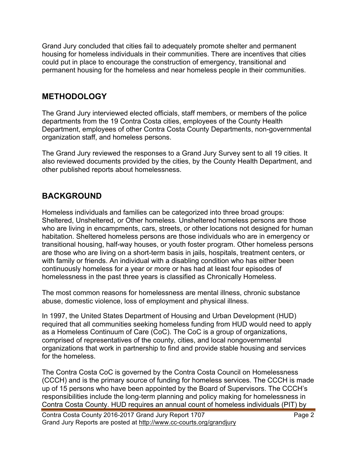Grand Jury concluded that cities fail to adequately promote shelter and permanent housing for homeless individuals in their communities. There are incentives that cities could put in place to encourage the construction of emergency, transitional and permanent housing for the homeless and near homeless people in their communities.

#### **METHODOLOGY**

The Grand Jury interviewed elected officials, staff members, or members of the police departments from the 19 Contra Costa cities, employees of the County Health Department, employees of other Contra Costa County Departments, non-governmental organization staff, and homeless persons.

The Grand Jury reviewed the responses to a Grand Jury Survey sent to all 19 cities. It also reviewed documents provided by the cities, by the County Health Department, and other published reports about homelessness.

## **BACKGROUND**

Homeless individuals and families can be categorized into three broad groups: Sheltered, Unsheltered, or Other homeless. Unsheltered homeless persons are those who are living in encampments, cars, streets, or other locations not designed for human habitation. Sheltered homeless persons are those individuals who are in emergency or transitional housing, half-way houses, or youth foster program. Other homeless persons are those who are living on a short-term basis in jails, hospitals, treatment centers, or with family or friends. An individual with a disabling condition who has either been continuously homeless for a year or more or has had at least four episodes of homelessness in the past three years is classified as Chronically Homeless.

The most common reasons for homelessness are mental illness, chronic substance abuse, domestic violence, loss of employment and physical illness.

In 1997, the United States Department of Housing and Urban Development (HUD) required that all communities seeking homeless funding from HUD would need to apply as a Homeless Continuum of Care (CoC). The CoC is a group of organizations, comprised of representatives of the county, cities, and local nongovernmental organizations that work in partnership to find and provide stable housing and services for the homeless.

The Contra Costa CoC is governed by the Contra Costa Council on Homelessness (CCCH) and is the primary source of funding for homeless services. The CCCH is made up of 15 persons who have been appointed by the Board of Supervisors. The CCCH's responsibilities include the long-term planning and policy making for homelessness in Contra Costa County. HUD requires an annual count of homeless individuals (PIT) by

Contra Costa County 2016-2017 Grand Jury Report 1707 Page 2 Grand Jury Reports are posted at http://www.cc-courts.org/grandjury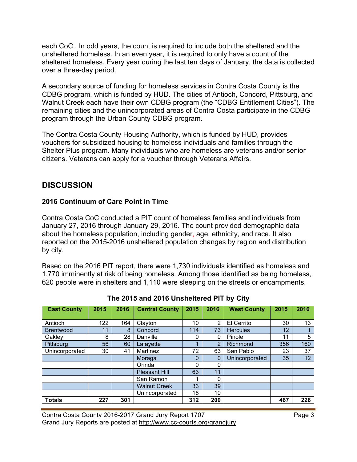each CoC . In odd years, the count is required to include both the sheltered and the unsheltered homeless. In an even year, it is required to only have a count of the sheltered homeless. Every year during the last ten days of January, the data is collected over a three-day period.

A secondary source of funding for homeless services in Contra Costa County is the CDBG program, which is funded by HUD. The cities of Antioch, Concord, Pittsburg, and Walnut Creek each have their own CDBG program (the "CDBG Entitlement Cities"). The remaining cities and the unincorporated areas of Contra Costa participate in the CDBG program through the Urban County CDBG program.

The Contra Costa County Housing Authority, which is funded by HUD, provides vouchers for subsidized housing to homeless individuals and families through the Shelter Plus program. Many individuals who are homeless are veterans and/or senior citizens. Veterans can apply for a voucher through Veterans Affairs.

## **DISCUSSION**

#### **2016 Continuum of Care Point in Time**

Contra Costa CoC conducted a PIT count of homeless families and individuals from January 27, 2016 through January 29, 2016. The count provided demographic data about the homeless population, including gender, age, ethnicity, and race. It also reported on the 2015-2016 unsheltered population changes by region and distribution by city.

Based on the 2016 PIT report, there were 1,730 individuals identified as homeless and 1,770 imminently at risk of being homeless. Among those identified as being homeless, 620 people were in shelters and 1,110 were sleeping on the streets or encampments.

| <b>East County</b> | 2015 | 2016 | <b>Central County</b> | 2015        | 2016           | <b>West County</b> | 2015 | 2016 |
|--------------------|------|------|-----------------------|-------------|----------------|--------------------|------|------|
|                    |      |      |                       |             |                |                    |      |      |
| Antioch            | 122  | 164  | Clayton               | 10          | $\overline{2}$ | El Cerrito         | 30   | 13   |
| <b>Brentwood</b>   | 11   | 8    | Concord               | 114         | 73             | <b>Hercules</b>    | 12   |      |
| Oakley             | 8    | 28   | Danville              | 0           | 0              | Pinole             | 11   | 5    |
| Pittsburg          | 56   | 60   | Lafayette             | ◀           | $\overline{2}$ | Richmond           | 356  | 160  |
| Unincorporated     | 30   | 41   | Martinez              | 72          | 63             | San Pablo          | 23   | 37   |
|                    |      |      | Moraga                | $\mathbf 0$ | $\overline{0}$ | Unincorporated     | 35   | 12   |
|                    |      |      | Orinda                | 0           | 0              |                    |      |      |
|                    |      |      | <b>Pleasant Hill</b>  | 63          | 11             |                    |      |      |
|                    |      |      | San Ramon             |             | 0              |                    |      |      |
|                    |      |      | <b>Walnut Creek</b>   | 33          | 39             |                    |      |      |
|                    |      |      | Unincorporated        | 18          | 10             |                    |      |      |
| <b>Totals</b>      | 227  | 301  |                       | 312         | 200            |                    | 467  | 228  |

#### **The 2015 and 2016 Unsheltered PIT by City**

Contra Costa County 2016-2017 Grand Jury Report 1707 Page 3 Grand Jury Reports are posted at http://www.cc-courts.org/grandjury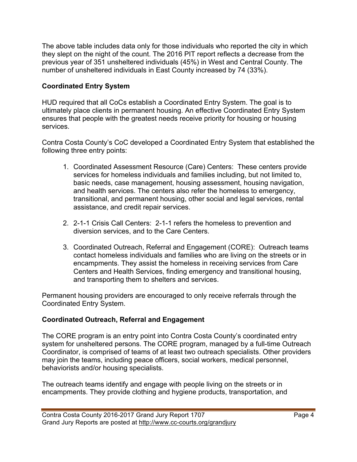The above table includes data only for those individuals who reported the city in which they slept on the night of the count. The 2016 PIT report reflects a decrease from the previous year of 351 unsheltered individuals (45%) in West and Central County. The number of unsheltered individuals in East County increased by 74 (33%).

#### **Coordinated Entry System**

HUD required that all CoCs establish a Coordinated Entry System. The goal is to ultimately place clients in permanent housing. An effective Coordinated Entry System ensures that people with the greatest needs receive priority for housing or housing services.

Contra Costa County's CoC developed a Coordinated Entry System that established the following three entry points:

- 1. Coordinated Assessment Resource (Care) Centers: These centers provide services for homeless individuals and families including, but not limited to, basic needs, case management, housing assessment, housing navigation, and health services. The centers also refer the homeless to emergency, transitional, and permanent housing, other social and legal services, rental assistance, and credit repair services.
- 2. 2-1-1 Crisis Call Centers: 2-1-1 refers the homeless to prevention and diversion services, and to the Care Centers.
- 3. Coordinated Outreach, Referral and Engagement (CORE): Outreach teams contact homeless individuals and families who are living on the streets or in encampments. They assist the homeless in receiving services from Care Centers and Health Services, finding emergency and transitional housing, and transporting them to shelters and services.

Permanent housing providers are encouraged to only receive referrals through the Coordinated Entry System.

#### **Coordinated Outreach, Referral and Engagement**

The CORE program is an entry point into Contra Costa County's coordinated entry system for unsheltered persons. The CORE program, managed by a full-time Outreach Coordinator, is comprised of teams of at least two outreach specialists. Other providers may join the teams, including peace officers, social workers, medical personnel, behaviorists and/or housing specialists.

The outreach teams identify and engage with people living on the streets or in encampments. They provide clothing and hygiene products, transportation, and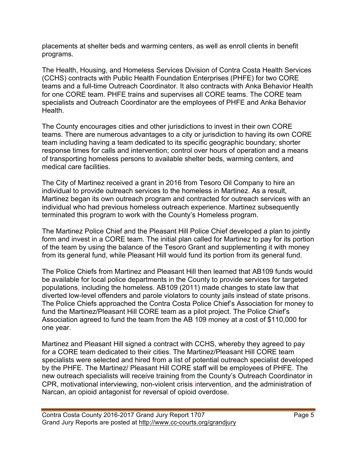placements at shelter beds and warming centers, as well as enroll clients in benefit programs.

The Health, Housing, and Homeless Services Division of Contra Costa Health Services (CCHS) contracts with Public Health Foundation Enterprises (PHFE) for two CORE teams and a full-time Outreach Coordinator. It also contracts with Anka Behavior Health for one CORE team. PHFE trains and supervises all CORE teams. The CORE team specialists and Outreach Coordinator are the employees of PHFE and Anka Behavior Health.

The County encourages cities and other jurisdictions to invest in their own CORE teams. There are numerous advantages to a city or jurisdiction to having its own CORE team including having a team dedicated to its specific geographic boundary; shorter response times for calls and intervention; control over hours of operation and a means of transporting homeless persons to available shelter beds, warming centers, and medical care facilities.

The City of Martinez received a grant in 2016 from Tesoro Oil Company to hire an individual to provide outreach services to the homeless in Martinez. As a result, Martinez began its own outreach program and contracted for outreach services with an individual who had previous homeless outreach experience. Martinez subsequently terminated this program to work with the County's Homeless program.

The Martinez Police Chief and the Pleasant Hill Police Chief developed a plan to jointly form and invest in a CORE team. The initial plan called for Martinez to pay for its portion of the team by using the balance of the Tesoro Grant and supplementing it with money from its general fund, while Pleasant Hill would fund its portion from its general fund.

The Police Chiefs from Martinez and Pleasant Hill then learned that AB109 funds would be available for local police departments in the County to provide services for targeted populations, including the homeless. AB109 (2011) made changes to state law that diverted low-level offenders and parole violators to county jails instead of state prisons. The Police Chiefs approached the Contra Costa Police Chief's Association for money to fund the Martinez/Pleasant Hill CORE team as a pilot project. The Police Chief's Association agreed to fund the team from the AB 109 money at a cost of \$110,000 for one year.

Martinez and Pleasant Hill signed a contract with CCHS, whereby they agreed to pay for a CORE team dedicated to their cities. The Martinez/Pleasant Hill CORE team specialists were selected and hired from a list of potential outreach specialist developed by the PHFE. The Martinez/ Pleasant Hill CORE staff will be employees of PHFE. The new outreach specialists will receive training from the County's Outreach Coordinator in CPR, motivational interviewing, non-violent crisis intervention, and the administration of Narcan, an opioid antagonist for reversal of opioid overdose.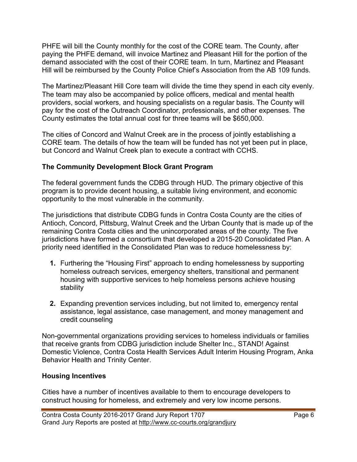PHFE will bill the County monthly for the cost of the CORE team. The County, after paying the PHFE demand, will invoice Martinez and Pleasant Hill for the portion of the demand associated with the cost of their CORE team. In turn, Martinez and Pleasant Hill will be reimbursed by the County Police Chief's Association from the AB 109 funds.

The Martinez/Pleasant Hill Core team will divide the time they spend in each city evenly. The team may also be accompanied by police officers, medical and mental health providers, social workers, and housing specialists on a regular basis. The County will pay for the cost of the Outreach Coordinator, professionals, and other expenses. The County estimates the total annual cost for three teams will be \$650,000.

The cities of Concord and Walnut Creek are in the process of jointly establishing a CORE team. The details of how the team will be funded has not yet been put in place, but Concord and Walnut Creek plan to execute a contract with CCHS.

#### **The Community Development Block Grant Program**

The federal government funds the CDBG through HUD. The primary objective of this program is to provide decent housing, a suitable living environment, and economic opportunity to the most vulnerable in the community.

The jurisdictions that distribute CDBG funds in Contra Costa County are the cities of Antioch, Concord, Pittsburg, Walnut Creek and the Urban County that is made up of the remaining Contra Costa cities and the unincorporated areas of the county. The five jurisdictions have formed a consortium that developed a 2015-20 Consolidated Plan. A priority need identified in the Consolidated Plan was to reduce homelessness by:

- **1.** Furthering the "Housing First" approach to ending homelessness by supporting homeless outreach services, emergency shelters, transitional and permanent housing with supportive services to help homeless persons achieve housing stability
- **2.** Expanding prevention services including, but not limited to, emergency rental assistance, legal assistance, case management, and money management and credit counseling

Non-governmental organizations providing services to homeless individuals or families that receive grants from CDBG jurisdiction include Shelter Inc., STAND! Against Domestic Violence, Contra Costa Health Services Adult Interim Housing Program, Anka Behavior Health and Trinity Center.

#### **Housing Incentives**

Cities have a number of incentives available to them to encourage developers to construct housing for homeless, and extremely and very low income persons.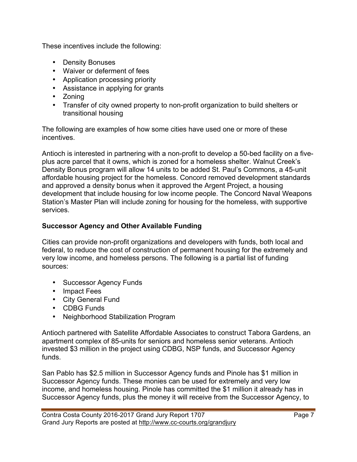These incentives include the following:

- Density Bonuses
- Waiver or deferment of fees
- Application processing priority
- Assistance in applying for grants
- Zoning
- Transfer of city owned property to non-profit organization to build shelters or transitional housing

The following are examples of how some cities have used one or more of these incentives.

Antioch is interested in partnering with a non-profit to develop a 50-bed facility on a fiveplus acre parcel that it owns, which is zoned for a homeless shelter. Walnut Creek's Density Bonus program will allow 14 units to be added St. Paul's Commons, a 45-unit affordable housing project for the homeless. Concord removed development standards and approved a density bonus when it approved the Argent Project, a housing development that include housing for low income people. The Concord Naval Weapons Station's Master Plan will include zoning for housing for the homeless, with supportive services.

#### **Successor Agency and Other Available Funding**

Cities can provide non-profit organizations and developers with funds, both local and federal, to reduce the cost of construction of permanent housing for the extremely and very low income, and homeless persons. The following is a partial list of funding sources:

- Successor Agency Funds
- Impact Fees
- City General Fund
- CDBG Funds
- Neighborhood Stabilization Program

Antioch partnered with Satellite Affordable Associates to construct Tabora Gardens, an apartment complex of 85-units for seniors and homeless senior veterans. Antioch invested \$3 million in the project using CDBG, NSP funds, and Successor Agency funds.

San Pablo has \$2.5 million in Successor Agency funds and Pinole has \$1 million in Successor Agency funds. These monies can be used for extremely and very low income, and homeless housing. Pinole has committed the \$1 million it already has in Successor Agency funds, plus the money it will receive from the Successor Agency, to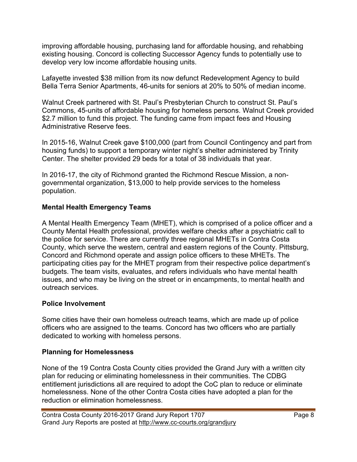improving affordable housing, purchasing land for affordable housing, and rehabbing existing housing. Concord is collecting Successor Agency funds to potentially use to develop very low income affordable housing units.

Lafayette invested \$38 million from its now defunct Redevelopment Agency to build Bella Terra Senior Apartments, 46-units for seniors at 20% to 50% of median income.

Walnut Creek partnered with St. Paul's Presbyterian Church to construct St. Paul's Commons, 45-units of affordable housing for homeless persons. Walnut Creek provided \$2.7 million to fund this project. The funding came from impact fees and Housing Administrative Reserve fees.

In 2015-16, Walnut Creek gave \$100,000 (part from Council Contingency and part from housing funds) to support a temporary winter night's shelter administered by Trinity Center. The shelter provided 29 beds for a total of 38 individuals that year.

In 2016-17, the city of Richmond granted the Richmond Rescue Mission, a nongovernmental organization, \$13,000 to help provide services to the homeless population.

#### **Mental Health Emergency Teams**

A Mental Health Emergency Team (MHET), which is comprised of a police officer and a County Mental Health professional, provides welfare checks after a psychiatric call to the police for service. There are currently three regional MHETs in Contra Costa County, which serve the western, central and eastern regions of the County. Pittsburg, Concord and Richmond operate and assign police officers to these MHETs. The participating cities pay for the MHET program from their respective police department's budgets. The team visits, evaluates, and refers individuals who have mental health issues, and who may be living on the street or in encampments, to mental health and outreach services.

#### **Police Involvement**

Some cities have their own homeless outreach teams, which are made up of police officers who are assigned to the teams. Concord has two officers who are partially dedicated to working with homeless persons.

#### **Planning for Homelessness**

None of the 19 Contra Costa County cities provided the Grand Jury with a written city plan for reducing or eliminating homelessness in their communities. The CDBG entitlement jurisdictions all are required to adopt the CoC plan to reduce or eliminate homelessness. None of the other Contra Costa cities have adopted a plan for the reduction or elimination homelessness.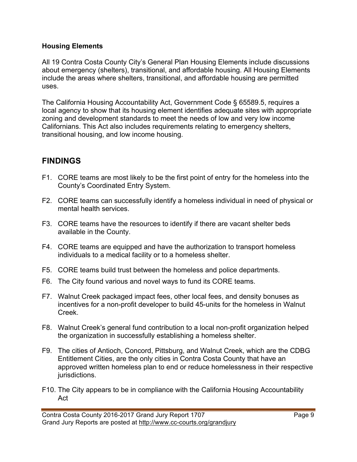#### **Housing Elements**

All 19 Contra Costa County City's General Plan Housing Elements include discussions about emergency (shelters), transitional, and affordable housing. All Housing Elements include the areas where shelters, transitional, and affordable housing are permitted uses.

The California Housing Accountability Act, Government Code § 65589.5, requires a local agency to show that its housing element identifies adequate sites with appropriate zoning and development standards to meet the needs of low and very low income Californians. This Act also includes requirements relating to emergency shelters, transitional housing, and low income housing.

## **FINDINGS**

- F1. CORE teams are most likely to be the first point of entry for the homeless into the County's Coordinated Entry System.
- F2. CORE teams can successfully identify a homeless individual in need of physical or mental health services.
- F3. CORE teams have the resources to identify if there are vacant shelter beds available in the County.
- F4. CORE teams are equipped and have the authorization to transport homeless individuals to a medical facility or to a homeless shelter.
- F5. CORE teams build trust between the homeless and police departments.
- F6. The City found various and novel ways to fund its CORE teams.
- F7. Walnut Creek packaged impact fees, other local fees, and density bonuses as incentives for a non-profit developer to build 45-units for the homeless in Walnut Creek.
- F8. Walnut Creek's general fund contribution to a local non-profit organization helped the organization in successfully establishing a homeless shelter.
- F9. The cities of Antioch, Concord, Pittsburg, and Walnut Creek, which are the CDBG Entitlement Cities, are the only cities in Contra Costa County that have an approved written homeless plan to end or reduce homelessness in their respective jurisdictions.
- F10. The City appears to be in compliance with the California Housing Accountability Act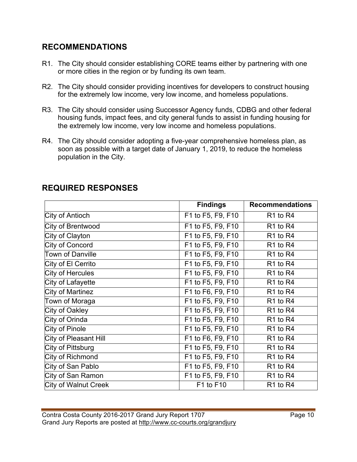## **RECOMMENDATIONS**

- R1. The City should consider establishing CORE teams either by partnering with one or more cities in the region or by funding its own team.
- R2. The City should consider providing incentives for developers to construct housing for the extremely low income, very low income, and homeless populations.
- R3. The City should consider using Successor Agency funds, CDBG and other federal housing funds, impact fees, and city general funds to assist in funding housing for the extremely low income, very low income and homeless populations.
- R4. The City should consider adopting a five-year comprehensive homeless plan, as soon as possible with a target date of January 1, 2019, to reduce the homeless population in the City.

|                             | <b>Findings</b>   | <b>Recommendations</b>           |
|-----------------------------|-------------------|----------------------------------|
| City of Antioch             | F1 to F5, F9, F10 | R <sub>1</sub> to R <sub>4</sub> |
| City of Brentwood           | F1 to F5, F9, F10 | R <sub>1</sub> to R <sub>4</sub> |
| City of Clayton             | F1 to F5, F9, F10 | R1 to R4                         |
| City of Concord             | F1 to F5, F9, F10 | R <sub>1</sub> to R <sub>4</sub> |
| <b>Town of Danville</b>     | F1 to F5, F9, F10 | R <sub>1</sub> to R <sub>4</sub> |
| City of El Cerrito          | F1 to F5, F9, F10 | R <sub>1</sub> to R <sub>4</sub> |
| City of Hercules            | F1 to F5, F9, F10 | R <sub>1</sub> to R <sub>4</sub> |
| City of Lafayette           | F1 to F5, F9, F10 | R <sub>1</sub> to R <sub>4</sub> |
| City of Martinez            | F1 to F6, F9, F10 | R <sub>1</sub> to R <sub>4</sub> |
| Town of Moraga              | F1 to F5, F9, F10 | R <sub>1</sub> to R <sub>4</sub> |
| City of Oakley              | F1 to F5, F9, F10 | R <sub>1</sub> to R <sub>4</sub> |
| City of Orinda              | F1 to F5, F9, F10 | R <sub>1</sub> to R <sub>4</sub> |
| City of Pinole              | F1 to F5, F9, F10 | R <sub>1</sub> to R <sub>4</sub> |
| City of Pleasant Hill       | F1 to F6, F9, F10 | R <sub>1</sub> to R <sub>4</sub> |
| City of Pittsburg           | F1 to F5, F9, F10 | R <sub>1</sub> to R <sub>4</sub> |
| City of Richmond            | F1 to F5, F9, F10 | R <sub>1</sub> to R <sub>4</sub> |
| City of San Pablo           | F1 to F5, F9, F10 | R <sub>1</sub> to R <sub>4</sub> |
| City of San Ramon           | F1 to F5, F9, F10 | R1 to R4                         |
| <b>City of Walnut Creek</b> | F1 to F10         | R <sub>1</sub> to R <sub>4</sub> |

## **REQUIRED RESPONSES**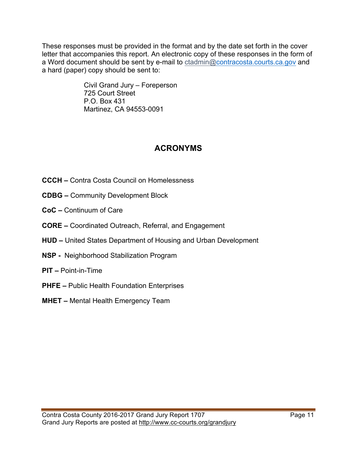These responses must be provided in the format and by the date set forth in the cover letter that accompanies this report. An electronic copy of these responses in the form of a Word document should be sent by e-mail to ctadmin@contracosta.courts.ca.gov and a hard (paper) copy should be sent to:

> Civil Grand Jury – Foreperson 725 Court Street P.O. Box 431 Martinez, CA 94553-0091

## **ACRONYMS**

- **CCCH –** Contra Costa Council on Homelessness
- **CDBG –** Community Development Block
- **CoC –** Continuum of Care
- **CORE –** Coordinated Outreach, Referral, and Engagement
- **HUD –** United States Department of Housing and Urban Development
- **NSP** Neighborhood Stabilization Program
- **PIT –** Point-in-Time
- **PHFE –** Public Health Foundation Enterprises
- **MHET –** Mental Health Emergency Team